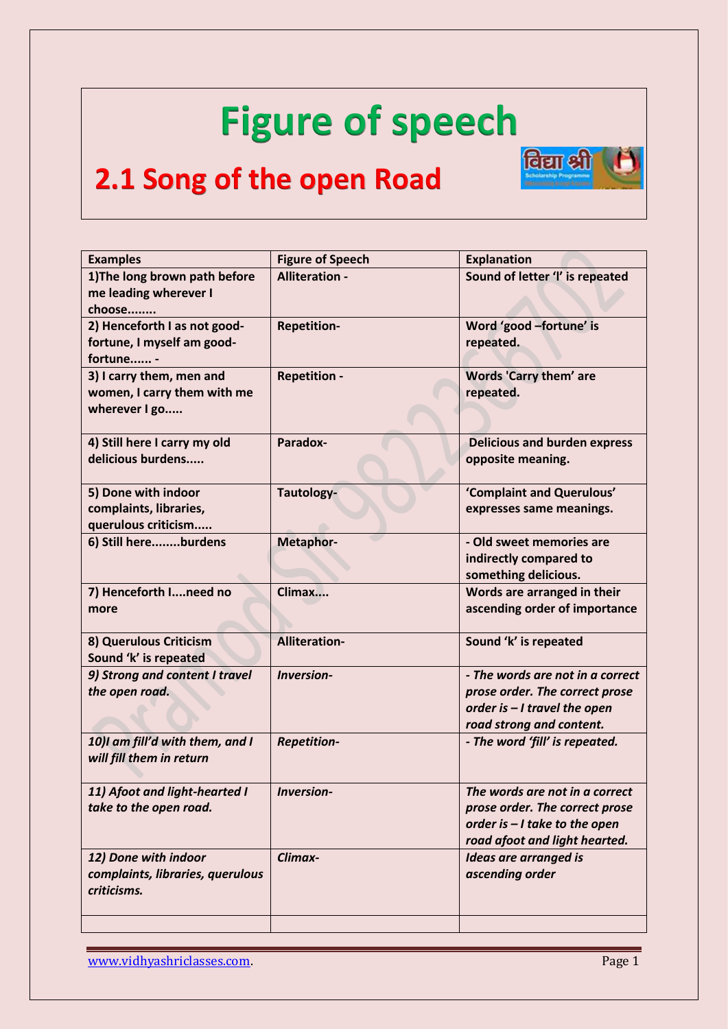# **Figure of speech**

विद्या श्री

#### **2.1 Song of the open Road**

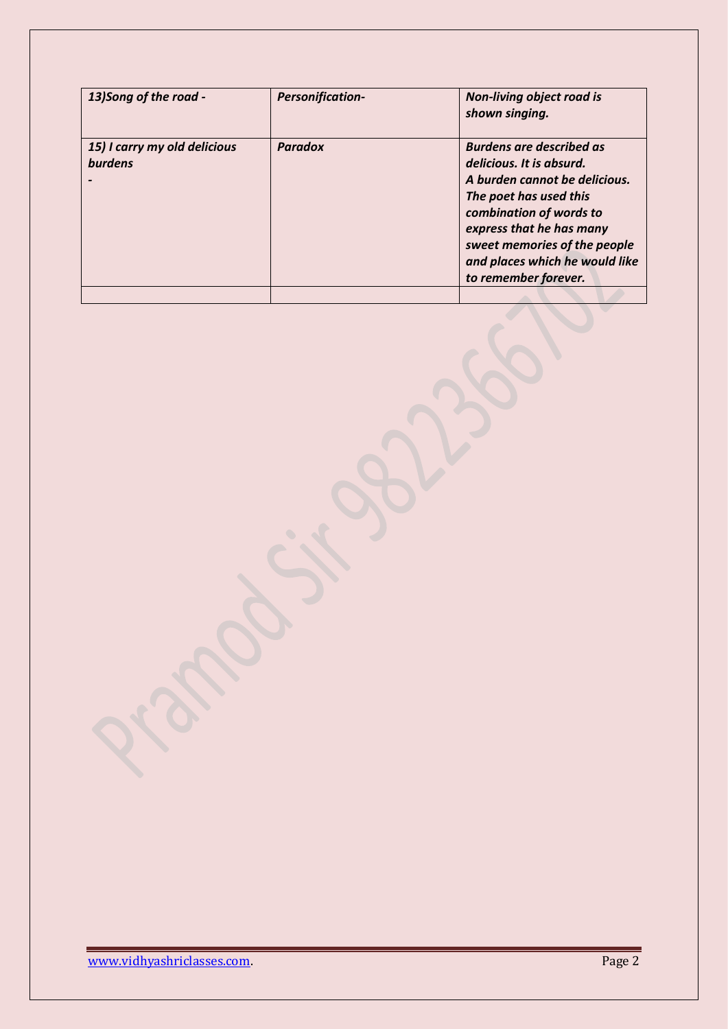| 13) Song of the road -                         | <b>Personification-</b> | <b>Non-living object road is</b><br>shown singing.                                                                                                                                                                                                                      |
|------------------------------------------------|-------------------------|-------------------------------------------------------------------------------------------------------------------------------------------------------------------------------------------------------------------------------------------------------------------------|
| 15) I carry my old delicious<br><b>burdens</b> | <b>Paradox</b>          | <b>Burdens are described as</b><br>delicious. It is absurd.<br>A burden cannot be delicious.<br>The poet has used this<br>combination of words to<br>express that he has many<br>sweet memories of the people<br>and places which he would like<br>to remember forever. |
|                                                |                         |                                                                                                                                                                                                                                                                         |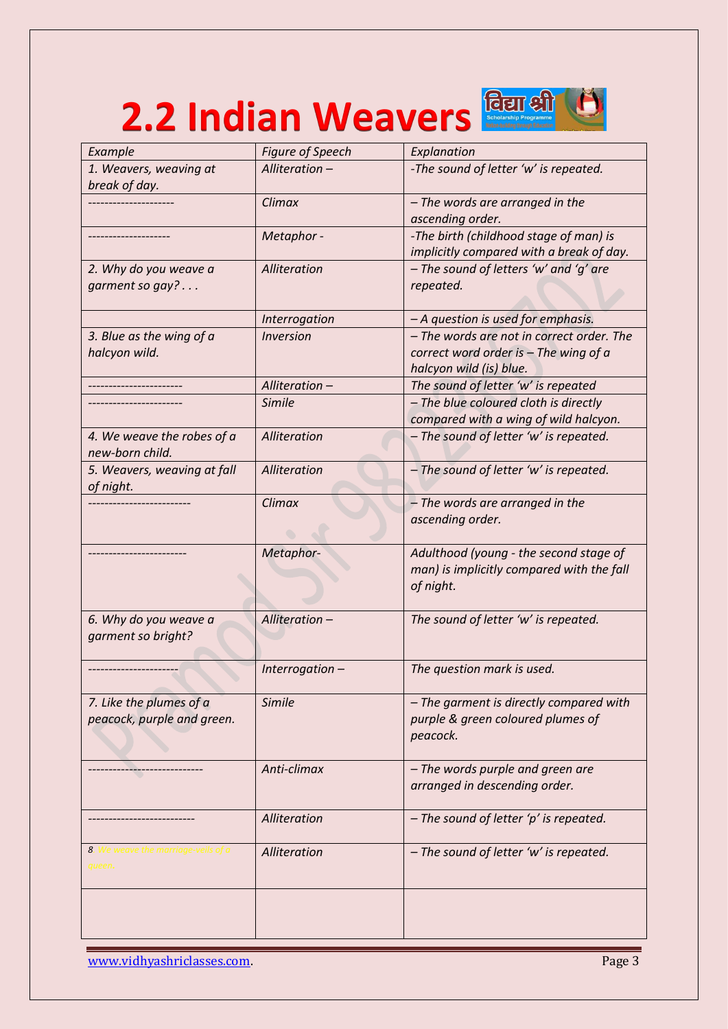# **2.2 Indian Weavers**

| Figure of Speech<br>Example<br>Explanation<br>-The sound of letter 'w' is repeated.<br>Alliteration -<br>1. Weavers, weaving at |  |
|---------------------------------------------------------------------------------------------------------------------------------|--|
|                                                                                                                                 |  |
|                                                                                                                                 |  |
| break of day.                                                                                                                   |  |
| - The words are arranged in the<br>Climax                                                                                       |  |
| ascending order.                                                                                                                |  |
| -The birth (childhood stage of man) is<br>Metaphor-                                                                             |  |
| implicitly compared with a break of day.                                                                                        |  |
| - The sound of letters 'w' and 'g' are<br>Alliteration<br>2. Why do you weave a                                                 |  |
| garment so gay?<br>repeated.                                                                                                    |  |
|                                                                                                                                 |  |
| Interrogation<br>- A question is used for emphasis.                                                                             |  |
| 3. Blue as the wing of a<br>- The words are not in correct order. The<br>Inversion                                              |  |
| halcyon wild.<br>correct word order is $-$ The wing of a                                                                        |  |
| halcyon wild (is) blue.                                                                                                         |  |
| Alliteration -<br>The sound of letter 'w' is repeated                                                                           |  |
| Simile                                                                                                                          |  |
| - The blue coloured cloth is directly                                                                                           |  |
| compared with a wing of wild halcyon.                                                                                           |  |
| Alliteration<br>4. We weave the robes of a<br>- The sound of letter 'w' is repeated.                                            |  |
| new-born child.                                                                                                                 |  |
| Alliteration<br>5. Weavers, weaving at fall<br>- The sound of letter 'w' is repeated.                                           |  |
| of night.                                                                                                                       |  |
| Climax<br>- The words are arranged in the                                                                                       |  |
| ascending order.                                                                                                                |  |
|                                                                                                                                 |  |
| Adulthood (young - the second stage of<br>Metaphor-                                                                             |  |
| man) is implicitly compared with the fall                                                                                       |  |
| of night.                                                                                                                       |  |
|                                                                                                                                 |  |
| 6. Why do you weave a<br>Alliteration -<br>The sound of letter 'w' is repeated.                                                 |  |
| garment so bright?                                                                                                              |  |
|                                                                                                                                 |  |
|                                                                                                                                 |  |
| The question mark is used.<br>Interrogation-                                                                                    |  |
|                                                                                                                                 |  |
| <b>Simile</b><br>7. Like the plumes of a<br>- The garment is directly compared with                                             |  |
| peacock, purple and green.<br>purple & green coloured plumes of                                                                 |  |
| peacock.                                                                                                                        |  |
|                                                                                                                                 |  |
| Anti-climax<br>- The words purple and green are                                                                                 |  |
| arranged in descending order.                                                                                                   |  |
|                                                                                                                                 |  |
| Alliteration<br>- The sound of letter 'p' is repeated.                                                                          |  |
|                                                                                                                                 |  |
| <b>8.</b> We weave the marriage-veils of a<br>Alliteration<br>- The sound of letter 'w' is repeated.                            |  |
| queen.                                                                                                                          |  |
|                                                                                                                                 |  |
|                                                                                                                                 |  |
|                                                                                                                                 |  |
|                                                                                                                                 |  |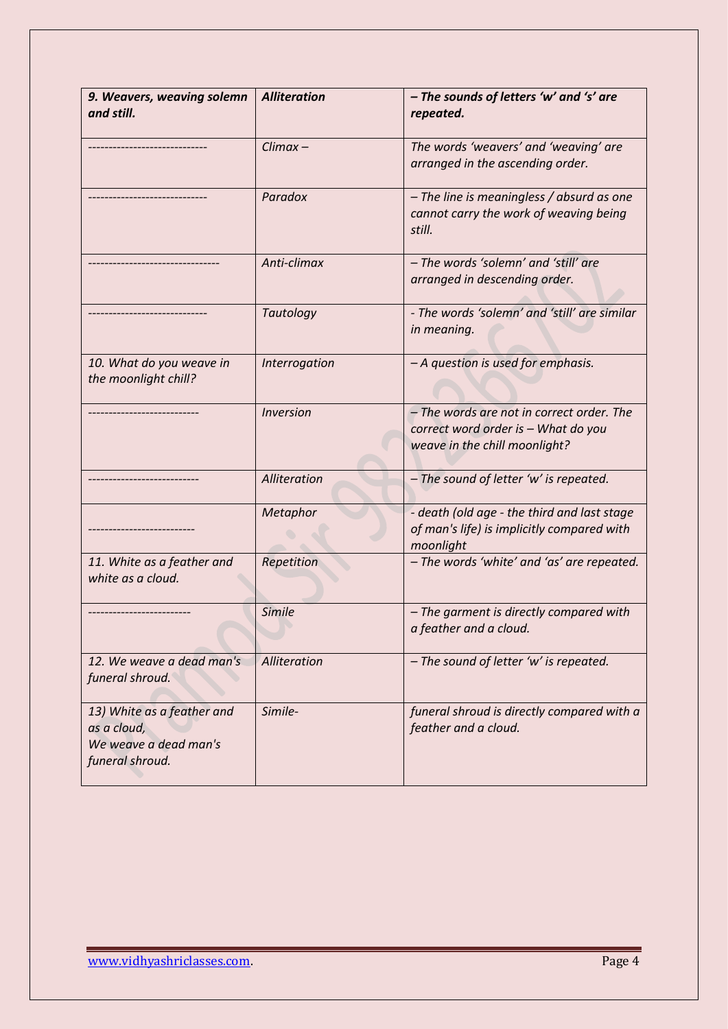| 9. Weavers, weaving solemn<br>and still.                                              | <b>Alliteration</b> | - The sounds of letters 'w' and 's' are<br>repeated.                                                              |
|---------------------------------------------------------------------------------------|---------------------|-------------------------------------------------------------------------------------------------------------------|
|                                                                                       | $Climax -$          | The words 'weavers' and 'weaving' are<br>arranged in the ascending order.                                         |
|                                                                                       | Paradox             | - The line is meaningless / absurd as one<br>cannot carry the work of weaving being<br>still.                     |
|                                                                                       | Anti-climax         | - The words 'solemn' and 'still' are<br>arranged in descending order.                                             |
|                                                                                       | Tautology           | - The words 'solemn' and 'still' are similar<br>in meaning.                                                       |
| 10. What do you weave in<br>the moonlight chill?                                      | Interrogation       | - A question is used for emphasis.                                                                                |
|                                                                                       | Inversion           | - The words are not in correct order. The<br>correct word order is - What do you<br>weave in the chill moonlight? |
|                                                                                       | Alliteration        | - The sound of letter 'w' is repeated.                                                                            |
|                                                                                       | Metaphor            | - death (old age - the third and last stage<br>of man's life) is implicitly compared with<br>moonlight            |
| 11. White as a feather and<br>white as a cloud.                                       | Repetition          | - The words 'white' and 'as' are repeated.                                                                        |
|                                                                                       | Simile              | - The garment is directly compared with<br>a feather and a cloud.                                                 |
| 12. We weave a dead man's<br>funeral shroud.                                          | Alliteration        | - The sound of letter 'w' is repeated.                                                                            |
| 13) White as a feather and<br>as a cloud,<br>We weave a dead man's<br>funeral shroud. | Simile-             | funeral shroud is directly compared with a<br>feather and a cloud.                                                |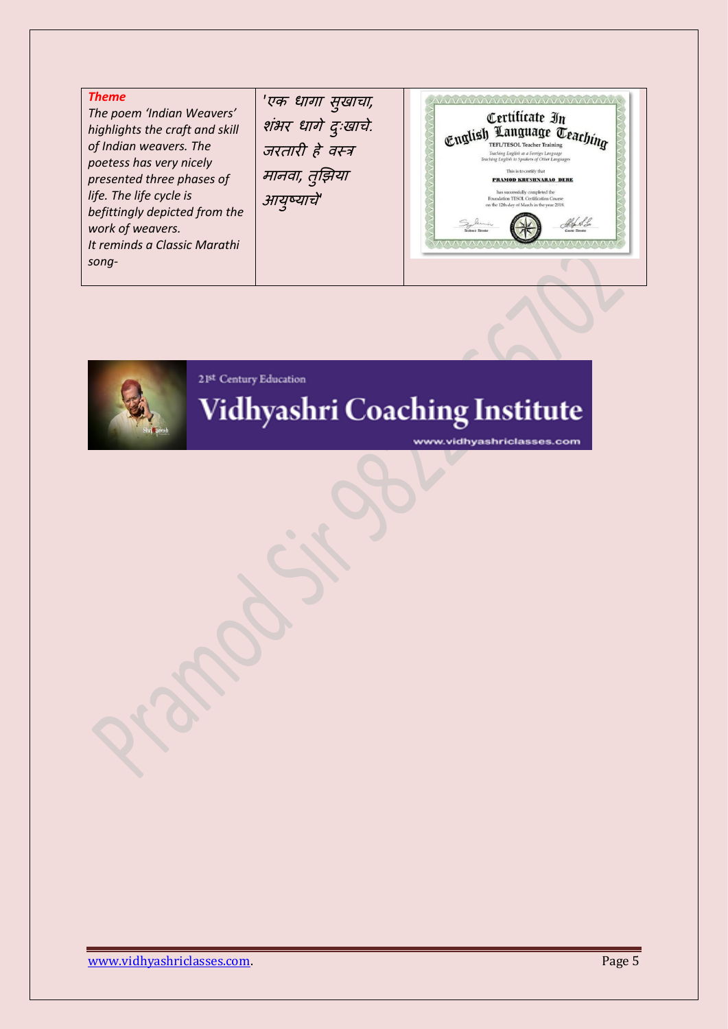| has successfully completed the<br>life. The life cycle is<br>आयुष्याचे<br>Foundation TESOL Certification Course<br>on the 12th day of March in the year 2018.<br>befittingly depicted from the<br>work of weavers.<br>It reminds a Classic Marathi<br>song- | <b>Theme</b><br>The poem 'Indian Weavers'<br>highlights the craft and skill<br>of Indian weavers. The<br>poetess has very nicely<br>presented three phases of | 'एक धागा सुखाचा,<br>शंभर धागे दुःखाचे.<br>जरतारी हे वस्त्र<br>मानवा, तुझिया | Certificate In<br>English Language Teart<br><b>TEFL/TESOL Teacher Training</b><br>Teaching English as a Foreign Language<br>Teaching English to Speakers of Other Languages<br>This is to certify that<br><b>PRAMOD KRUSHNARAO DERE</b> |
|-------------------------------------------------------------------------------------------------------------------------------------------------------------------------------------------------------------------------------------------------------------|---------------------------------------------------------------------------------------------------------------------------------------------------------------|-----------------------------------------------------------------------------|-----------------------------------------------------------------------------------------------------------------------------------------------------------------------------------------------------------------------------------------|
|-------------------------------------------------------------------------------------------------------------------------------------------------------------------------------------------------------------------------------------------------------------|---------------------------------------------------------------------------------------------------------------------------------------------------------------|-----------------------------------------------------------------------------|-----------------------------------------------------------------------------------------------------------------------------------------------------------------------------------------------------------------------------------------|

21st Century Education

## Vidhyashri Coaching Institute

www.vidhyashriclasses.com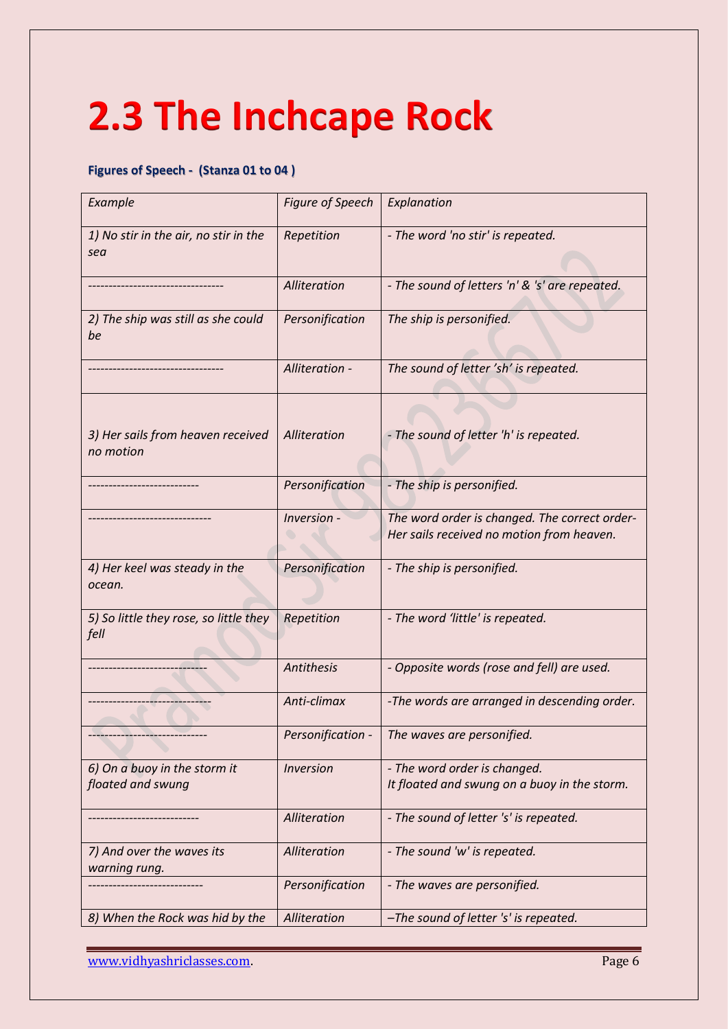# **2.3 The Inchcape Rock**

#### **Figures of Speech - (Stanza 01 to 04 )**

| Example                                           | Figure of Speech  | Explanation                                                                                |
|---------------------------------------------------|-------------------|--------------------------------------------------------------------------------------------|
| 1) No stir in the air, no stir in the<br>sea      | Repetition        | - The word 'no stir' is repeated.                                                          |
|                                                   | Alliteration      | - The sound of letters 'n' & 's' are repeated.                                             |
| 2) The ship was still as she could<br>be          | Personification   | The ship is personified.                                                                   |
|                                                   | Alliteration -    | The sound of letter 'sh' is repeated.                                                      |
| 3) Her sails from heaven received<br>no motion    | Alliteration      | - The sound of letter 'h' is repeated.                                                     |
|                                                   | Personification   | - The ship is personified.                                                                 |
|                                                   | Inversion -       | The word order is changed. The correct order-<br>Her sails received no motion from heaven. |
| 4) Her keel was steady in the<br>ocean.           | Personification   | - The ship is personified.                                                                 |
| 5) So little they rose, so little they<br>fell    | Repetition        | - The word 'little' is repeated.                                                           |
|                                                   | Antithesis        | - Opposite words (rose and fell) are used.                                                 |
|                                                   | Anti-climax       | -The words are arranged in descending order.                                               |
|                                                   | Personification - | The waves are personified.                                                                 |
| 6) On a buoy in the storm it<br>floated and swung | <b>Inversion</b>  | - The word order is changed.<br>It floated and swung on a buoy in the storm.               |
|                                                   | Alliteration      | - The sound of letter 's' is repeated.                                                     |
| 7) And over the waves its<br>warning rung.        | Alliteration      | - The sound 'w' is repeated.                                                               |
|                                                   | Personification   | - The waves are personified.                                                               |
| 8) When the Rock was hid by the                   | Alliteration      | -The sound of letter 's' is repeated.                                                      |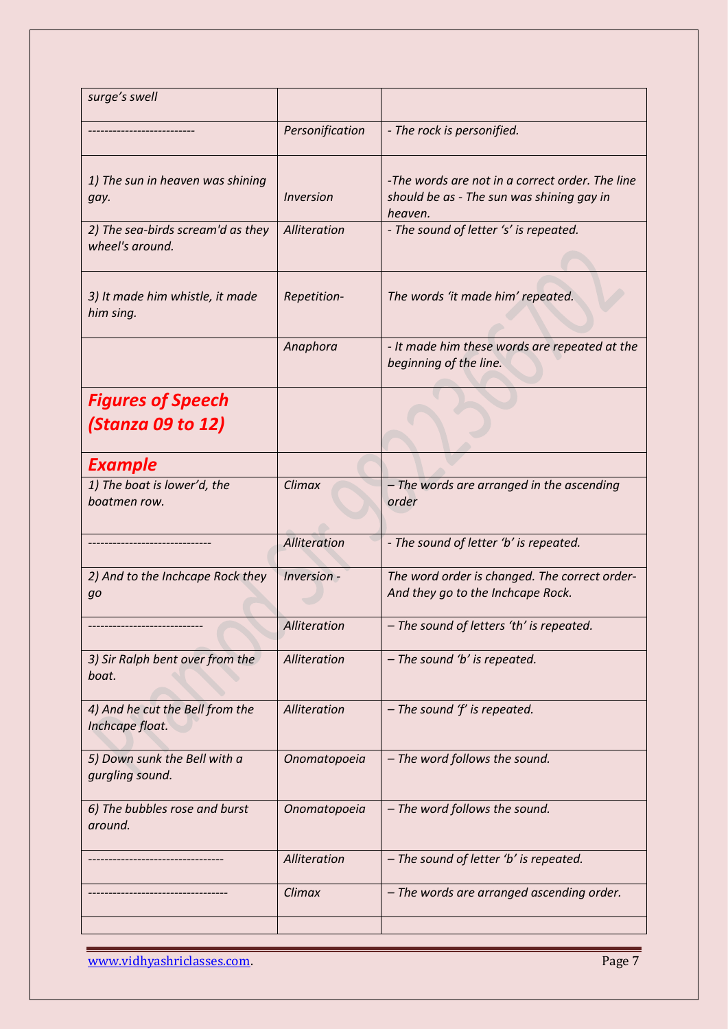| surge's swell                                        |                  |                                                                                                         |
|------------------------------------------------------|------------------|---------------------------------------------------------------------------------------------------------|
|                                                      | Personification  | - The rock is personified.                                                                              |
| 1) The sun in heaven was shining<br>gay.             | <b>Inversion</b> | -The words are not in a correct order. The line<br>should be as - The sun was shining gay in<br>heaven. |
| 2) The sea-birds scream'd as they<br>wheel's around. | Alliteration     | - The sound of letter 's' is repeated.                                                                  |
| 3) It made him whistle, it made<br>him sing.         | Repetition-      | The words 'it made him' repeated.                                                                       |
|                                                      | Anaphora         | - It made him these words are repeated at the<br>beginning of the line.                                 |
| <b>Figures of Speech</b><br>(Stanza 09 to 12)        |                  |                                                                                                         |
| <b>Example</b>                                       |                  |                                                                                                         |
| 1) The boat is lower'd, the<br>boatmen row.          | Climax           | - The words are arranged in the ascending<br>order                                                      |
|                                                      | Alliteration     | - The sound of letter 'b' is repeated.                                                                  |
| 2) And to the Inchcape Rock they<br>$g$ o            | Inversion -      | The word order is changed. The correct order-<br>And they go to the Inchcape Rock.                      |
|                                                      | Alliteration     | - The sound of letters 'th' is repeated.                                                                |
| 3) Sir Ralph bent over from the<br>boat.             | Alliteration     | - The sound 'b' is repeated.                                                                            |
| 4) And he cut the Bell from the<br>Inchcape float.   | Alliteration     | $-$ The sound 'f' is repeated.                                                                          |
| 5) Down sunk the Bell with a<br>gurgling sound.      | Onomatopoeia     | - The word follows the sound.                                                                           |
| 6) The bubbles rose and burst<br>around.             | Onomatopoeia     | - The word follows the sound.                                                                           |
|                                                      | Alliteration     | - The sound of letter 'b' is repeated.                                                                  |
|                                                      | Climax           | - The words are arranged ascending order.                                                               |
|                                                      |                  |                                                                                                         |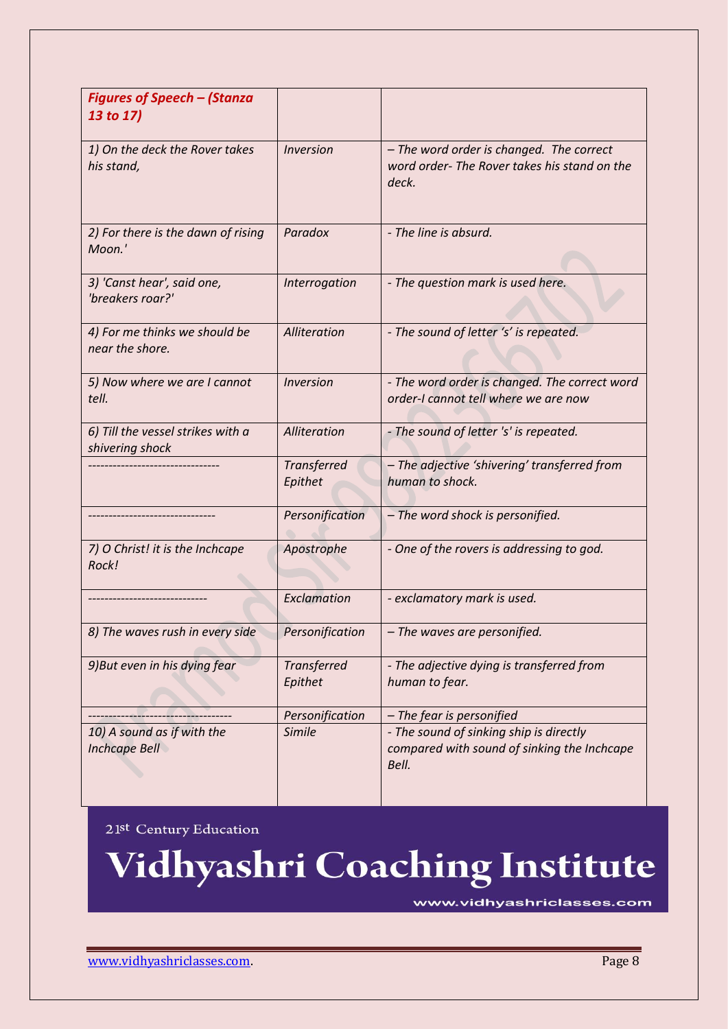| <b>Figures of Speech - (Stanza</b><br>13 to 17)      |                               |                                                                                                   |
|------------------------------------------------------|-------------------------------|---------------------------------------------------------------------------------------------------|
| 1) On the deck the Rover takes<br>his stand,         | <b>Inversion</b>              | - The word order is changed. The correct<br>word order- The Rover takes his stand on the<br>deck. |
| 2) For there is the dawn of rising<br>Moon.'         | Paradox                       | - The line is absurd.                                                                             |
| 3) 'Canst hear', said one,<br>'breakers roar?'       | Interrogation                 | - The question mark is used here.                                                                 |
| 4) For me thinks we should be<br>near the shore.     | Alliteration                  | - The sound of letter 's' is repeated.                                                            |
| 5) Now where we are I cannot<br>tell.                | <b>Inversion</b>              | - The word order is changed. The correct word<br>order-I cannot tell where we are now             |
| 6) Till the vessel strikes with a<br>shivering shock | Alliteration                  | - The sound of letter 's' is repeated.                                                            |
|                                                      | <b>Transferred</b><br>Epithet | - The adjective 'shivering' transferred from<br>human to shock.                                   |
|                                                      | Personification               | - The word shock is personified.                                                                  |
| 7) O Christ! it is the Inchcape<br>Rock!             | Apostrophe                    | - One of the rovers is addressing to god.                                                         |
|                                                      | Exclamation                   | - exclamatory mark is used.                                                                       |
| 8) The waves rush in every side                      | Personification               | - The waves are personified.                                                                      |
| 9) But even in his dying fear                        | <b>Transferred</b><br>Epithet | - The adjective dying is transferred from<br>human to fear.                                       |
|                                                      | Personification               | - The fear is personified                                                                         |
| 10) A sound as if with the<br><b>Inchcape Bell</b>   | <b>Simile</b>                 | - The sound of sinking ship is directly<br>compared with sound of sinking the Inchcape<br>Bell.   |

21st Century Education

Vidhyashri Coaching Institute

www.vidhyashriclasses.com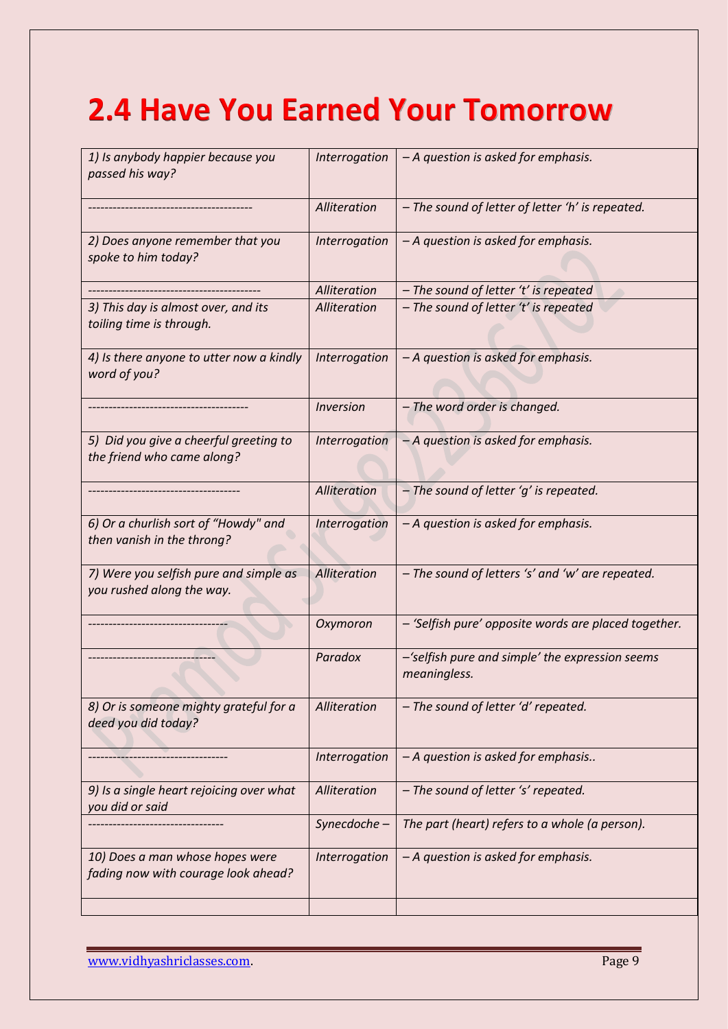### **2.4 Have You Earned Your Tomorrow**

| 1) Is anybody happier because you<br>passed his way?                   | Interrogation                  | - A question is asked for emphasis.                             |
|------------------------------------------------------------------------|--------------------------------|-----------------------------------------------------------------|
|                                                                        | Alliteration                   | - The sound of letter of letter 'h' is repeated.                |
| 2) Does anyone remember that you<br>spoke to him today?                | Interrogation                  | - A question is asked for emphasis.                             |
|                                                                        | Alliteration                   | - The sound of letter 't' is repeated                           |
| 3) This day is almost over, and its<br>toiling time is through.        | Alliteration                   | - The sound of letter 't' is repeated                           |
| 4) Is there anyone to utter now a kindly<br>word of you?               | Interrogation                  | - A question is asked for emphasis.                             |
|                                                                        | <i><u><b>Inversion</b></u></i> | - The word order is changed.                                    |
| 5) Did you give a cheerful greeting to<br>the friend who came along?   | Interrogation                  | - A question is asked for emphasis.                             |
|                                                                        | Alliteration                   | - The sound of letter 'g' is repeated.                          |
| 6) Or a churlish sort of "Howdy" and<br>then vanish in the throng?     | Interrogation                  | - A question is asked for emphasis.                             |
| 7) Were you selfish pure and simple as<br>you rushed along the way.    | Alliteration                   | - The sound of letters 's' and 'w' are repeated.                |
|                                                                        | Oxymoron                       | - 'Selfish pure' opposite words are placed together.            |
|                                                                        | Paradox                        | -'selfish pure and simple' the expression seems<br>meaningless. |
| 8) Or is someone mighty grateful for a<br>deed you did today?          | Alliteration                   | - The sound of letter 'd' repeated.                             |
|                                                                        | Interrogation                  | - A question is asked for emphasis                              |
| 9) Is a single heart rejoicing over what<br>you did or said            | Alliteration                   | - The sound of letter 's' repeated.                             |
|                                                                        | Synecdoche-                    | The part (heart) refers to a whole (a person).                  |
| 10) Does a man whose hopes were<br>fading now with courage look ahead? | Interrogation                  | - A question is asked for emphasis.                             |
|                                                                        |                                |                                                                 |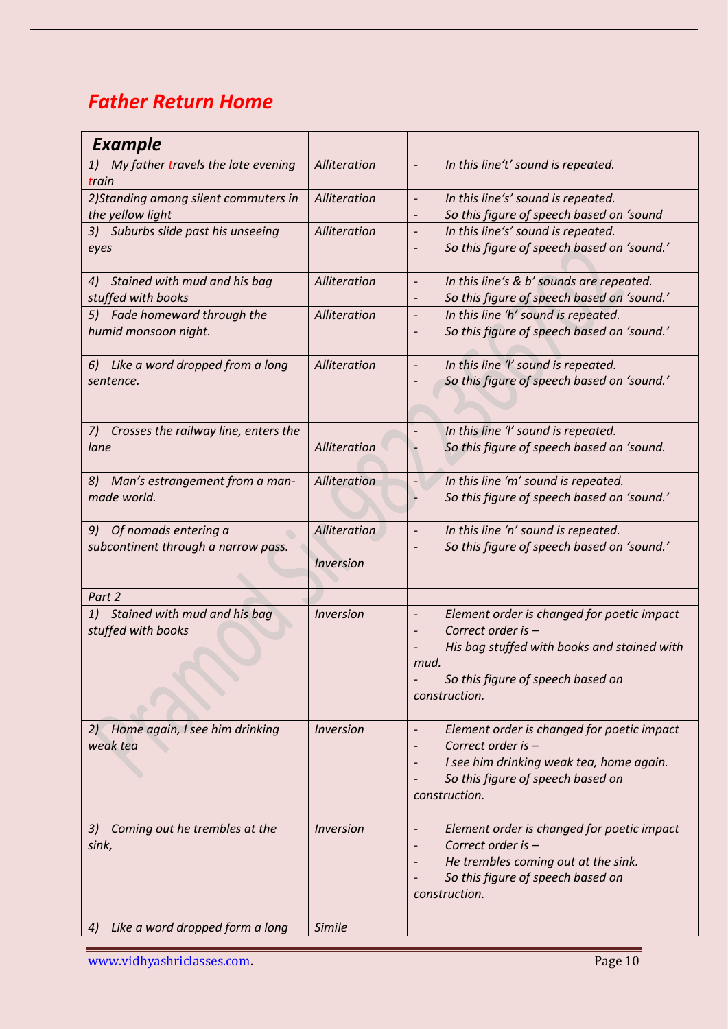#### *Father Return Home*

| <b>Example</b>                                                 |                           |                                                                                                                                                                                                           |
|----------------------------------------------------------------|---------------------------|-----------------------------------------------------------------------------------------------------------------------------------------------------------------------------------------------------------|
| 1) My father travels the late evening<br>train                 | Alliteration              | In this line't' sound is repeated.<br>$\overline{\phantom{a}}$                                                                                                                                            |
| 2) Standing among silent commuters in<br>the yellow light      | Alliteration              | In this line's' sound is repeated.<br>$\overline{\phantom{a}}$<br>So this figure of speech based on 'sound<br>$\overline{\phantom{a}}$                                                                    |
| 3) Suburbs slide past his unseeing<br>eyes                     | Alliteration              | In this line's' sound is repeated.<br>$\overline{\phantom{a}}$<br>So this figure of speech based on 'sound.'                                                                                              |
| Stained with mud and his bag<br>4)<br>stuffed with books       | Alliteration              | In this line's & b' sounds are repeated.<br>$\overline{\phantom{a}}$<br>So this figure of speech based on 'sound.'                                                                                        |
| 5) Fade homeward through the<br>humid monsoon night.           | Alliteration              | In this line 'h' sound is repeated.<br>$\overline{\phantom{a}}$<br>So this figure of speech based on 'sound.'<br>-                                                                                        |
| 6) Like a word dropped from a long<br>sentence.                | Alliteration              | In this line 'I' sound is repeated.<br>$\overline{\phantom{a}}$<br>So this figure of speech based on 'sound.'                                                                                             |
| 7) Crosses the railway line, enters the<br>lane                | Alliteration              | In this line 'I' sound is repeated.<br>So this figure of speech based on 'sound.                                                                                                                          |
| Man's estrangement from a man-<br>8)<br>made world.            | Alliteration              | In this line 'm' sound is repeated.<br>So this figure of speech based on 'sound.'                                                                                                                         |
| 9) Of nomads entering a<br>subcontinent through a narrow pass. | Alliteration<br>Inversion | In this line 'n' sound is repeated.<br>$\overline{\phantom{a}}$<br>So this figure of speech based on 'sound.'                                                                                             |
| Part 2                                                         |                           |                                                                                                                                                                                                           |
| 1) Stained with mud and his bag<br>stuffed with books          | Inversion                 | Element order is changed for poetic impact<br>$\overline{\phantom{a}}$<br>Correct order is -<br>His bag stuffed with books and stained with<br>mud.<br>So this figure of speech based on<br>construction. |
| 2) Home again, I see him drinking<br>weak tea                  | Inversion                 | Element order is changed for poetic impact<br>Correct order is -<br>I see him drinking weak tea, home again.<br>So this figure of speech based on<br>$\overline{\phantom{a}}$<br>construction.            |
| 3) Coming out he trembles at the<br>sink,                      | Inversion                 | Element order is changed for poetic impact<br>Correct order is -<br>He trembles coming out at the sink.<br>So this figure of speech based on<br>construction.                                             |
| Like a word dropped form a long<br>4)                          | Simile                    |                                                                                                                                                                                                           |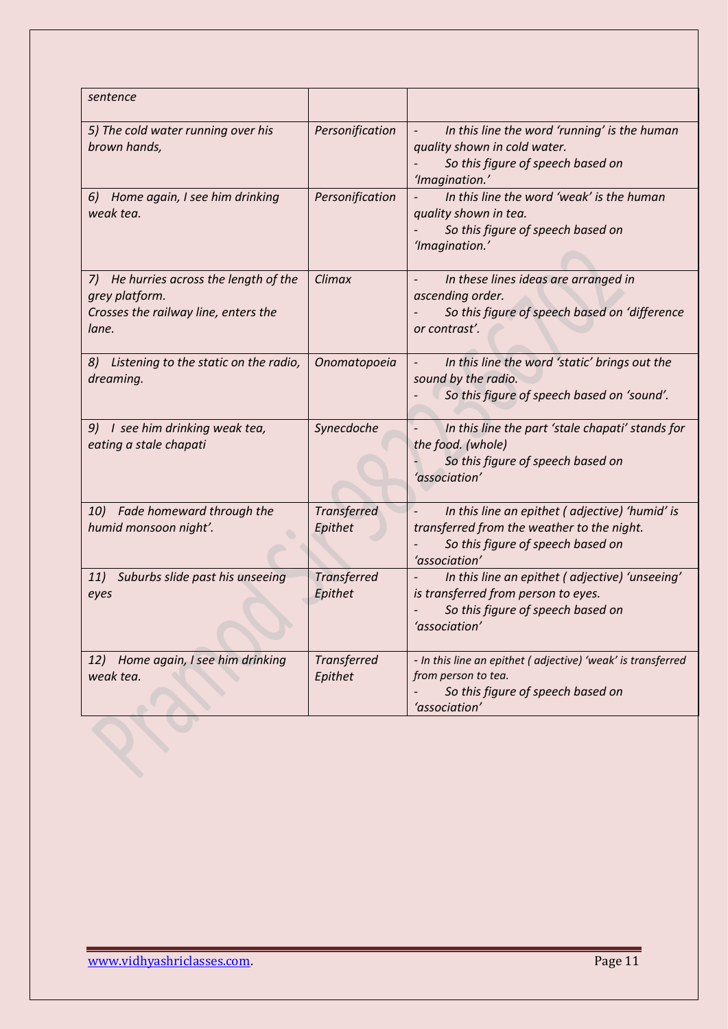| sentence                                                                                                  |                               |                                                                                                                                                                                    |
|-----------------------------------------------------------------------------------------------------------|-------------------------------|------------------------------------------------------------------------------------------------------------------------------------------------------------------------------------|
| 5) The cold water running over his<br>brown hands,                                                        | Personification               | In this line the word 'running' is the human<br>$\omega_{\rm{max}}$<br>quality shown in cold water.<br>So this figure of speech based on<br>'Imagination.'                         |
| 6) Home again, I see him drinking<br>weak tea.                                                            | Personification               | In this line the word 'weak' is the human<br>$\omega_{\rm{max}}$<br>quality shown in tea.<br>So this figure of speech based on<br>'Imagination.'                                   |
| 7) He hurries across the length of the<br>grey platform.<br>Crosses the railway line, enters the<br>lane. | Climax                        | In these lines ideas are arranged in<br>$\overline{\phantom{a}}$<br>ascending order.<br>So this figure of speech based on 'difference<br>or contrast'.                             |
| 8) Listening to the static on the radio,<br>dreaming.                                                     | Onomatopoeia                  | In this line the word 'static' brings out the<br>$\sim 10$<br>sound by the radio.<br>So this figure of speech based on 'sound'.                                                    |
| 9) I see him drinking weak tea,<br>eating a stale chapati                                                 | Synecdoche                    | In this line the part 'stale chapati' stands for<br>$\overline{\phantom{a}}$<br>the food. (whole)<br>So this figure of speech based on<br>'association'                            |
| 10) Fade homeward through the<br>humid monsoon night'.                                                    | <b>Transferred</b><br>Epithet | In this line an epithet (adjective) 'humid' is<br>$\qquad \qquad \blacksquare$<br>transferred from the weather to the night.<br>So this figure of speech based on<br>'association' |
| Suburbs slide past his unseeing<br>11)<br>eyes                                                            | <b>Transferred</b><br>Epithet | In this line an epithet (adjective) 'unseeing'<br>is transferred from person to eyes.<br>So this figure of speech based on<br>'association                                         |
| Home again, I see him drinking<br><b>12)</b><br>weak tea.                                                 | <b>Transferred</b><br>Epithet | - In this line an epithet (adjective) 'weak' is transferred<br>from person to tea.<br>So this figure of speech based on<br>'association'                                           |
|                                                                                                           |                               |                                                                                                                                                                                    |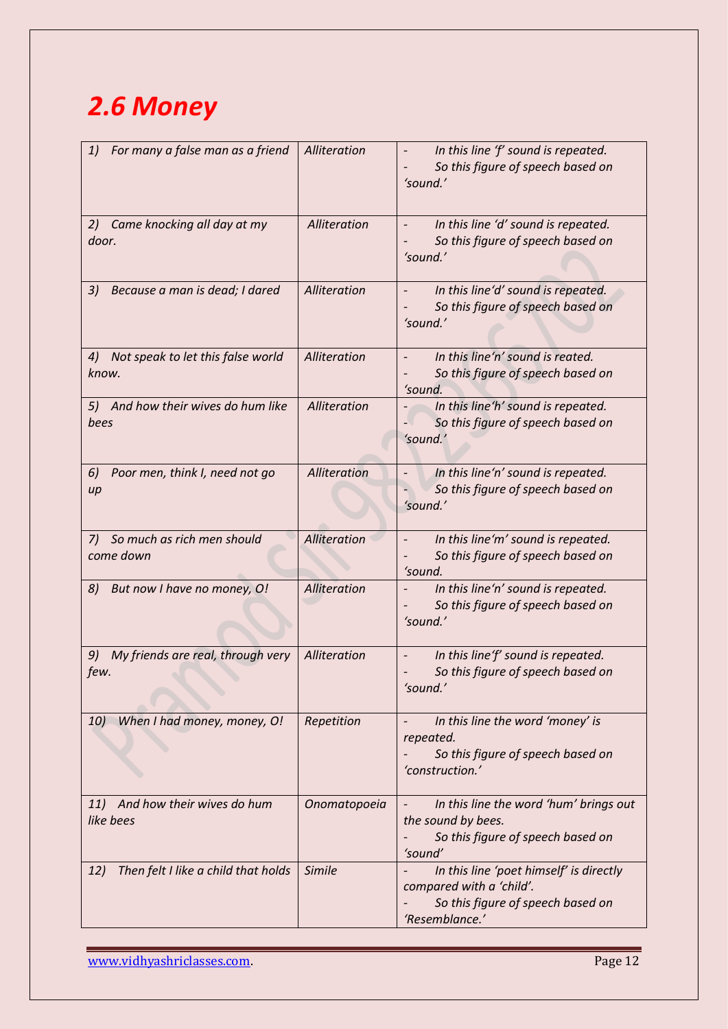### *2.6 Money*

| For many a false man as a friend<br>1)          | Alliteration | In this line 'f' sound is repeated.<br>So this figure of speech based on<br>'sound.'                                       |
|-------------------------------------------------|--------------|----------------------------------------------------------------------------------------------------------------------------|
| 2) Came knocking all day at my<br>door.         | Alliteration | In this line 'd' sound is repeated.<br>So this figure of speech based on<br>'sound.'                                       |
| Because a man is dead; I dared<br>3)            | Alliteration | In this line'd' sound is repeated.<br>$\blacksquare$<br>So this figure of speech based on<br>'sound.'                      |
| 4) Not speak to let this false world<br>know.   | Alliteration | In this line'n' sound is reated.<br>So this figure of speech based on<br>'sound.                                           |
| 5) And how their wives do hum like<br>bees      | Alliteration | In this line'h' sound is repeated.<br>So this figure of speech based on<br>'sound.'                                        |
| Poor men, think I, need not go<br>6)<br>$\mu$   | Alliteration | In this line'n' sound is repeated.<br>So this figure of speech based on<br>'sound.'                                        |
| 7) So much as rich men should<br>come down      | Alliteration | In this line'm' sound is repeated.<br>$\overline{\phantom{a}}$<br>So this figure of speech based on<br>'sound.             |
| 8) But now I have no money, O!                  | Alliteration | In this line'n' sound is repeated.<br>$\omega_{\rm{max}}$<br>So this figure of speech based on<br>'sound.'                 |
| My friends are real, through very<br>9)<br>few. | Alliteration | In this line'f' sound is repeated.<br>$\sim 100$<br>So this figure of speech based on<br>'sound.                           |
| When I had money, money, O!<br>10)              | Repetition   | In this line the word 'money' is<br>repeated.<br>So this figure of speech based on<br>'construction.'                      |
| 11) And how their wives do hum<br>like bees     | Onomatopoeia | In this line the word 'hum' brings out<br>the sound by bees.<br>So this figure of speech based on<br>'sound'               |
| Then felt I like a child that holds<br>12)      | Simile       | In this line 'poet himself' is directly<br>compared with a 'child'.<br>So this figure of speech based on<br>'Resemblance.' |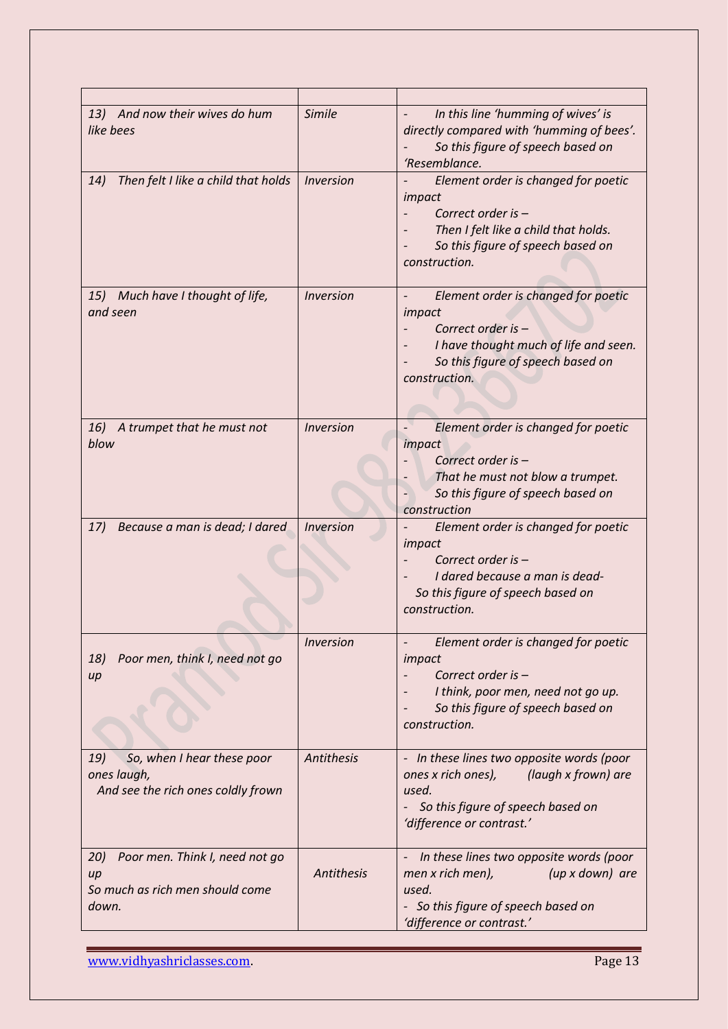| 13) And now their wives do hum<br>like bees                                             | Simile                         | In this line 'humming of wives' is<br>$\mathbf{L}^{\text{max}}$<br>directly compared with 'humming of bees'.<br>So this figure of speech based on<br>'Resemblance.                             |
|-----------------------------------------------------------------------------------------|--------------------------------|------------------------------------------------------------------------------------------------------------------------------------------------------------------------------------------------|
| Then felt I like a child that holds<br>14)                                              | Inversion                      | Element order is changed for poetic<br>impact<br>Correct order is -<br>Then I felt like a child that holds.<br>So this figure of speech based on<br>construction.                              |
| 15) Much have I thought of life,<br>and seen                                            | <i><u><b>Inversion</b></u></i> | Element order is changed for poetic<br>$\overline{\phantom{a}}$<br>impact<br>Correct order is -<br>I have thought much of life and seen.<br>So this figure of speech based on<br>construction. |
| A trumpet that he must not<br>16)<br>blow                                               | <b>Inversion</b>               | Element order is changed for poetic<br>$\overline{\phantom{0}}$<br>impact<br>Correct order is -<br>That he must not blow a trumpet.<br>So this figure of speech based on<br>construction       |
| 17)<br>Because a man is dead; I dared                                                   | Inversion                      | Element order is changed for poetic<br>impact<br>Correct order is -<br>I dared because a man is dead-<br>So this figure of speech based on<br>construction.                                    |
| 18)<br>Poor men, think I, need not go<br>up                                             | <b>Inversion</b>               | Element order is changed for poetic<br>impact<br>Correct order is -<br>I think, poor men, need not go up.<br>So this figure of speech based on<br>construction.                                |
| 19)<br>So, when I hear these poor<br>ones laugh,<br>And see the rich ones coldly frown  | Antithesis                     | - In these lines two opposite words (poor<br>ones x rich ones),<br>(laugh x frown) are<br>used.<br>So this figure of speech based on<br>'difference or contrast.'                              |
| Poor men. Think I, need not go<br>20)<br>up<br>So much as rich men should come<br>down. | <b>Antithesis</b>              | In these lines two opposite words (poor<br>men x rich men),<br>$(up x down)$ are<br>used.<br>- So this figure of speech based on<br>'difference or contrast.'                                  |